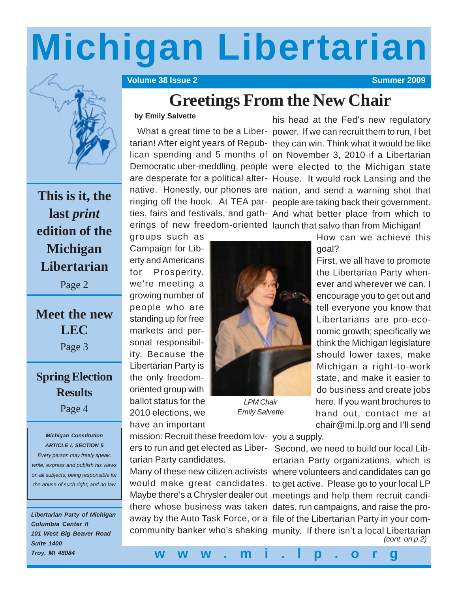# **Michigan Libertarian**

**The Volume 38 Issue 2 Summer 2009 Contract Contract Contract Contract Contract Contract Contract Contract Contract Contract Contract Contract Contract Contract Contract Contract Contract Contract Contract Contract Contr** 



**This is it, the last** *print* **edition of the Michigan Libertarian**

Page 2

**Meet the new LEC** Page 3

**Spring Election Results**

Page 4

#### *Michigan Constitution ARTICLE I, SECTION 5*

*Every person may freely speak, write, express and publish his views on all subjects, being responsible for the abuse of such right; and no law*

*Libertarian Party of Michigan Columbia Center II 101 West Big Beaver Road Suite 1400 Troy, MI 48084*

## **Greetings From the New Chair**

#### **by Emily Salvette**

his head at the Fed's new regulatory What a great time to be a Liber- power. If we can recruit them to run, I bet tarian! After eight years of Repub- they can win. Think what it would be like lican spending and 5 months of on November 3, 2010 if a Libertarian Democratic uber-meddling, people were elected to the Michigan state are desperate for a political alter- House. It would rock Lansing and the native. Honestly, our phones are nation, and send a warning shot that ringing off the hook. At TEA par- people are taking back their government. ties, fairs and festivals, and gath- And what better place from which to erings of new freedom-oriented launch that salvo than from Michigan!

goal?

groups such as Campaign for Liberty and Americans for Prosperity, we're meeting a growing number of people who are standing up for free markets and personal responsibility. Because the Libertarian Party is the only freedomoriented group with ballot status for the 2010 elections, we have an important



*LPM Chair Emily Salvette*

encourage you to get out and tell everyone you know that Libertarians are pro-economic growth; specifically we think the Michigan legislature should lower taxes, make Michigan a right-to-work state, and make it easier to do business and create jobs here. If you want brochures to hand out, contact me at chair@mi.lp.org and I'll send

How can we achieve this

First, we all have to promote the Libertarian Party whenever and wherever we can. I

mission: Recruit these freedom lov- you a supply. tarian Party candidates.

ers to run and get elected as Liber- Second, we need to build our local Libertarian Party organizations, which is Many of these new citizen activists where volunteers and candidates can go would make great candidates. to get active. Please go to your local LP Maybe there's a Chrysler dealer out meetings and help them recruit candithere whose business was taken dates, run campaigns, and raise the proaway by the Auto Task Force, or a file of the Libertarian Party in your comcommunity banker who's shaking munity. If there isn't a local Libertarian *(cont. on p.2)*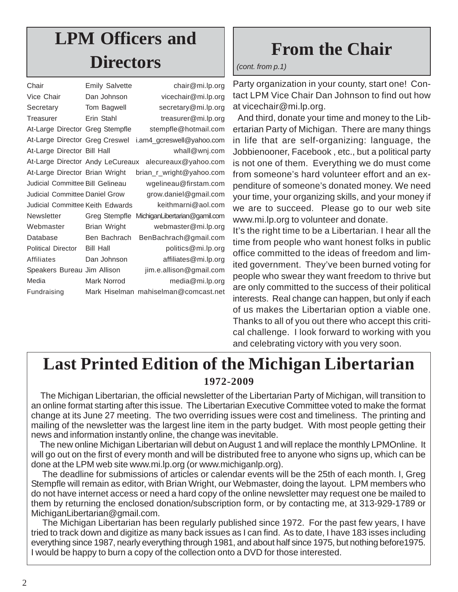# **LPM Officers and Directors**

| Chair                                 | <b>Emily Salvette</b> | chair@mi.lp.org                      |
|---------------------------------------|-----------------------|--------------------------------------|
| Vice Chair                            | Dan Johnson           | vicechair@mi.lp.org                  |
| Secretary                             | Tom Bagwell           | secretary@mi.lp.org                  |
| Treasurer                             | Erin Stahl            | treasurer@mi.lp.org                  |
| At-Large Director Greg Stempfle       |                       | stempfle@hotmail.com                 |
| At-Large Director Greg Creswel        |                       | i.am4_gcreswell@yahoo.com            |
| At-Large Director Bill Hall           |                       | whall@wnj.com                        |
| At-Large Director Andy LeCureaux      |                       | alecureaux@yahoo.com                 |
| At-Large Director Brian Wright        |                       | brian_r_wright@yahoo.com             |
| Judicial Committee Bill Gelineau      |                       | wgelineau@firstam.com                |
| <b>Judicial Committee Daniel Grow</b> |                       | grow.daniel@gmail.com                |
| Judicial Committee Keith Edwards      |                       | keithmarni@aol.com                   |
| <b>Newsletter</b>                     | Greg Stempfle         | MichiganLibertarian@gamil.com        |
| Webmaster                             | Brian Wright          | webmaster@mi.lp.org                  |
| Database                              | Ben Bachrach          | BenBachrach@gmail.com                |
| <b>Political Director</b>             | <b>Bill Hall</b>      | politics@mi.lp.org                   |
| Affiliates                            | Dan Johnson           | affiliates@mi.lp.org                 |
| Speakers Bureau Jim Allison           |                       | jim.e.allison@gmail.com              |
| Media                                 | Mark Norrod           | media@mi.lp.org                      |
| Fundraising                           |                       | Mark Hiselman mahiselman@comcast.net |
|                                       |                       |                                      |

# **From the Chair**

#### *(cont. from p.1)*

Party organization in your county, start one! Contact LPM Vice Chair Dan Johnson to find out how at vicechair@mi.lp.org.

 And third, donate your time and money to the Libertarian Party of Michigan. There are many things in life that are self-organizing: language, the Jobbienooner, Facebook , etc., but a political party is not one of them. Everything we do must come from someone's hard volunteer effort and an expenditure of someone's donated money. We need your time, your organizing skills, and your money if we are to succeed. Please go to our web site www.mi.lp.org to volunteer and donate.

It's the right time to be a Libertarian. I hear all the time from people who want honest folks in public office committed to the ideas of freedom and limited government. They've been burned voting for people who swear they want freedom to thrive but are only committed to the success of their political interests. Real change can happen, but only if each of us makes the Libertarian option a viable one. Thanks to all of you out there who accept this critical challenge. I look forward to working with you and celebrating victory with you very soon.

## **Last Printed Edition of the Michigan Libertarian 1972-2009**

 The Michigan Libertarian, the official newsletter of the Libertarian Party of Michigan, will transition to an online format starting after this issue. The Libertarian Executive Committee voted to make the format change at its June 27 meeting. The two overriding issues were cost and timeliness. The printing and mailing of the newsletter was the largest line item in the party budget. With most people getting their news and information instantly online, the change was inevitable.

 The new online Michigan Libertarian will debut on August 1 and will replace the monthly LPMOnline. It will go out on the first of every month and will be distributed free to anyone who signs up, which can be done at the LPM web site www.mi.lp.org (or www.michiganlp.org).

 The deadline for submissions of articles or calendar events will be the 25th of each month. I, Greg Stempfle will remain as editor, with Brian Wright, our Webmaster, doing the layout. LPM members who do not have internet access or need a hard copy of the online newsletter may request one be mailed to them by returning the enclosed donation/subscription form, or by contacting me, at 313-929-1789 or MichiganLibertarian@gmail.com.

 The Michigan Libertarian has been regularly published since 1972. For the past few years, I have tried to track down and digitize as many back issues as I can find. As to date, I have 183 isses including everything since 1987, nearly everything through 1981, and about half since 1975, but nothing before1975. I would be happy to burn a copy of the collection onto a DVD for those interested.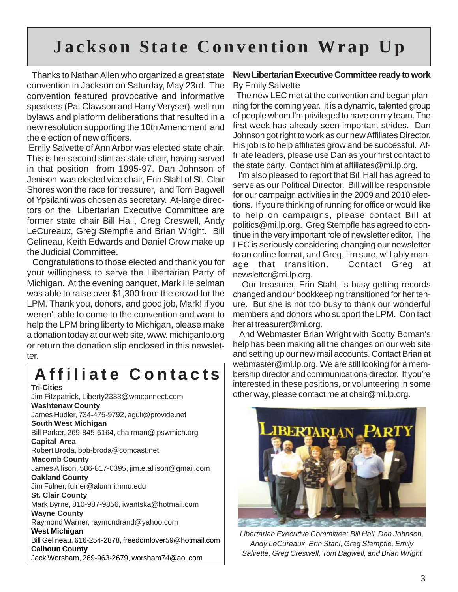## **Jackson State Convention Wrap Up**

 Thanks to Nathan Allen who organized a great state convention in Jackson on Saturday, May 23rd. The convention featured provocative and informative speakers (Pat Clawson and Harry Veryser), well-run bylaws and platform deliberations that resulted in a new resolution supporting the 10th Amendment and the election of new officers.

 Emily Salvette of Ann Arbor was elected state chair. This is her second stint as state chair, having served in that position from 1995-97. Dan Johnson of Jenison was elected vice chair, Erin Stahl of St. Clair Shores won the race for treasurer, and Tom Bagwell of Ypsilanti was chosen as secretary. At-large directors on the Libertarian Executive Committee are former state chair Bill Hall, Greg Creswell, Andy LeCureaux, Greg Stempfle and Brian Wright. Bill Gelineau, Keith Edwards and Daniel Grow make up the Judicial Committee.

 Congratulations to those elected and thank you for your willingness to serve the Libertarian Party of Michigan. At the evening banquet, Mark Heiselman was able to raise over \$1,300 from the crowd for the LPM. Thank you, donors, and good job, Mark! If you weren't able to come to the convention and want to help the LPM bring liberty to Michigan, please make a donation today at our web site, www. michiganlp.org or return the donation slip enclosed in this newsletter.

### **Affiliate Contacts Tri-Cities**

Jim Fitzpatrick, Liberty2333@wmconnect.com **Washtenaw County** James Hudler, 734-475-9792, aguli@provide.net **South West Michigan** Bill Parker, 269-845-6164, chairman@lpswmich.org **Capital Area** Robert Broda, bob-broda@comcast.net **Macomb County** James Allison, 586-817-0395, jim.e.allison@gmail.com **Oakland County** Jim Fulner, fulner@alumni.nmu.edu **St. Clair County** Mark Byrne, 810-987-9856, iwantska@hotmail.com **Wayne County** Raymond Warner, raymondrand@yahoo.com **West Michigan** Bill Gelineau, 616-254-2878, freedomlover59@hotmail.com **Calhoun County** Jack Worsham, 269-963-2679, worsham74@aol.com

#### **New Libertarian Executive Committee ready to work** By Emily Salvette

 The new LEC met at the convention and began planning for the coming year. It is a dynamic, talented group of people whom I'm privileged to have on my team. The first week has already seen important strides. Dan Johnson got right to work as our new Affiliates Director. His job is to help affiliates grow and be successful. Affiliate leaders, please use Dan as your first contact to the state party. Contact him at affiliates@mi.lp.org.

 I'm also pleased to report that Bill Hall has agreed to serve as our Political Director. Bill will be responsible for our campaign activities in the 2009 and 2010 elections. If you're thinking of running for office or would like to help on campaigns, please contact Bill at politics@mi.lp.org. Greg Stempfle has agreed to continue in the very important role of newsletter editor. The LEC is seriously considering changing our newsletter to an online format, and Greg, I'm sure, will ably manage that transition. Contact Greg at newsletter@mi.lp.org.

 Our treasurer, Erin Stahl, is busy getting records changed and our bookkeeping transitioned for her tenure. But she is not too busy to thank our wonderful members and donors who support the LPM. Con tact her at treasurer@mi.org.

 And Webmaster Brian Wright with Scotty Boman's help has been making all the changes on our web site and setting up our new mail accounts. Contact Brian at webmaster@mi.lp.org. We are still looking for a membership director and communications director. If you're interested in these positions, or volunteering in some other way, please contact me at chair@mi.lp.org.



*Libertarian Executive Committee; Bill Hall, Dan Johnson, Andy LeCureaux, Erin Stahl, Greg Stempfle, Emily Salvette, Greg Creswell, Tom Bagwell, and Brian Wright*